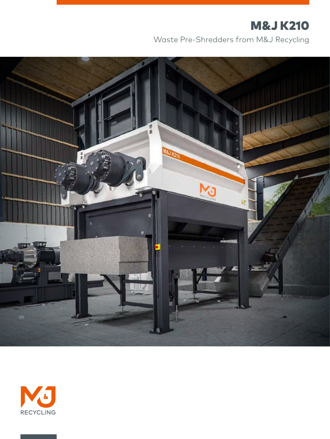# M&J K210

Waste Pre-Shredders from M&J Recycling



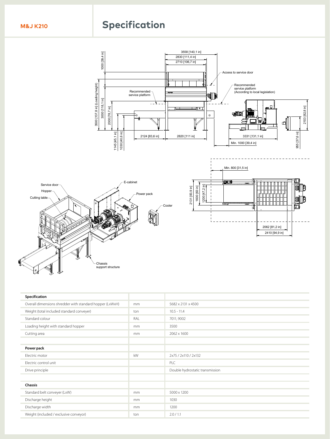## **EXAMPLE ON SPECIFICATION**

REV DESCRIPTION OF REVISION BY APPD DATE 02 Drawing updated HS 2019-02-14 03 General update KF BDI 2019-04-24



| ____<br>Specification                                    |     |                                 |
|----------------------------------------------------------|-----|---------------------------------|
| Overall dimensions shredder with standard hopper (LxWxH) | mm  | 5682 x 2131 x 4500              |
| Weight (total included standard conveyer)                | ton | $10.5 - 11.4$                   |
| Standard colour                                          | RAL | 7011, 9002                      |
| Loading height with standard hopper<br>___               | mm  | 3500                            |
| Cutting area                                             | mm  | 2062 x 1600                     |
| Power pack                                               |     |                                 |
| Electric motor                                           | kW  | 2x75 / 2x110 / 2x132            |
| Electric control unit                                    |     | PLC                             |
| Drive principle                                          |     | Double hydrostatic transmission |
| <b>Chassis</b>                                           |     |                                 |
| Standard belt conveyer (LxW)                             | mm  | 5000 x 1200                     |
| Discharge height                                         | mm  | 1030                            |
| Discharge width                                          | mm  | 1200                            |
| Weight (included / exclusive conveyor)                   | ton | 2.0 / 1.1                       |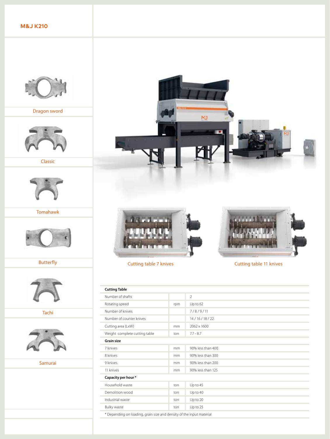**M&J K210**



Dragon sword



Classic



Tomahawk



Butterfly



Tachi



Samurai

٠







#### Cutting table 7 knives Cutting table 11 knives

| <b>Cutting Table</b>                                                 |     |                   |  |  |
|----------------------------------------------------------------------|-----|-------------------|--|--|
| Number of shafts                                                     |     | $\overline{2}$    |  |  |
| Rotating speed                                                       | rpm | $Up$ to $62$      |  |  |
| Number of knives                                                     |     | 7/8/9/11          |  |  |
| Number of counter knives                                             |     | 14/16/18/22       |  |  |
| Cutting area (LxW)                                                   | mm  | 2062 x 1600       |  |  |
| Weight complete cutting table                                        | ton | $7.7 - 8.7$       |  |  |
| <b>Grain size</b>                                                    |     |                   |  |  |
| 7 knives                                                             | mm  | 90% less than 400 |  |  |
| 8 knives                                                             | mm  | 90% less than 300 |  |  |
| 9 knives                                                             | mm  | 90% less than 200 |  |  |
| 11 knives                                                            | mm  | 90% less than 125 |  |  |
| Capacity per hour *                                                  |     |                   |  |  |
| Household waste                                                      | ton | Up to 45          |  |  |
| Demolition wood                                                      | ton | Up to 40          |  |  |
| Industrial waste                                                     | ton | Up to 20          |  |  |
| Bulky waste                                                          | ton | Up to 25          |  |  |
| * Depending on loading, grain size and density of the input material |     |                   |  |  |